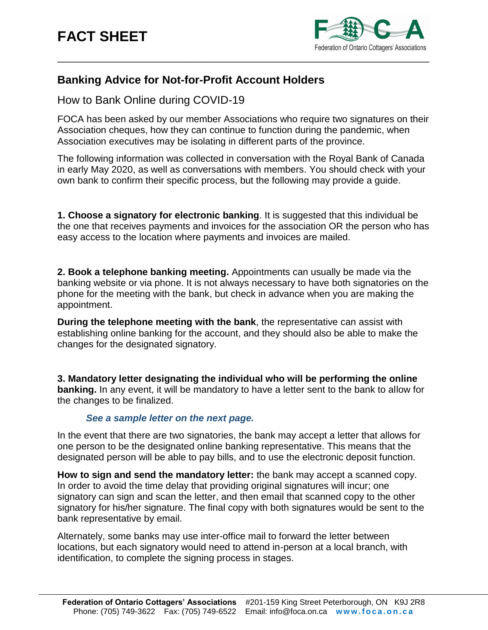

## **Banking Advice for Not-for-Profit Account Holders**

How to Bank Online during COVID-19

FOCA has been asked by our member Associations who require two signatures on their Association cheques, how they can continue to function during the pandemic, when Association executives may be isolating in different parts of the province.

The following information was collected in conversation with the Royal Bank of Canada in early May 2020, as well as conversations with members. You should check with your own bank to confirm their specific process, but the following may provide a guide.

**1. Choose a signatory for electronic banking**. It is suggested that this individual be the one that receives payments and invoices for the association OR the person who has easy access to the location where payments and invoices are mailed.

**2. Book a telephone banking meeting.** Appointments can usually be made via the banking website or via phone. It is not always necessary to have both signatories on the phone for the meeting with the bank, but check in advance when you are making the appointment.

**During the telephone meeting with the bank**, the representative can assist with establishing online banking for the account, and they should also be able to make the changes for the designated signatory.

**3. Mandatory letter designating the individual who will be performing the online banking.** In any event, it will be mandatory to have a letter sent to the bank to allow for the changes to be finalized.

## *See a sample letter on the next page.*

In the event that there are two signatories, the bank may accept a letter that allows for one person to be the designated online banking representative. This means that the designated person will be able to pay bills, and to use the electronic deposit function.

**How to sign and send the mandatory letter:** the bank may accept a scanned copy. In order to avoid the time delay that providing original signatures will incur; one signatory can sign and scan the letter, and then email that scanned copy to the other signatory for his/her signature. The final copy with both signatures would be sent to the bank representative by email.

Alternately, some banks may use inter-office mail to forward the letter between locations, but each signatory would need to attend in-person at a local branch, with identification, to complete the signing process in stages.